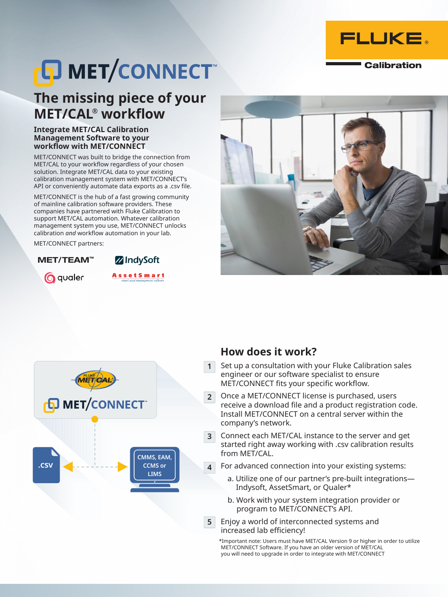

**Calibration** 

# **D MET/CONNECT**

### **The missing piece of your MET/CAL® workflow**

#### **Integrate MET/CAL Calibration Management Software to your workflow with MET/CONNECT**

MET/CONNECT was built to bridge the connection from MET/CAL to your workflow regardless of your chosen solution. Integrate MET/CAL data to your existing calibration management system with MET/CONNECT's API or conveniently automate data exports as a .csv file.

MET/CONNECT is the hub of a fast growing community of mainline calibration software providers. These companies have partnered with Fluke Calibration to support MET/CAL automation. Whatever calibration management system you use, MET/CONNECT unlocks calibration *and* workflow automation in your lab.

MET/CONNECT partners:

MET/TEAM™

**Q** qualer

**Z**IndySoft **AssetSmart** 





#### **How does it work?**

- Set up a consultation with your Fluke Calibration sales engineer or our software specialist to ensure MET/CONNECT fits your specific workflow. **1**
- Once a MET/CONNECT license is purchased, users receive a download file and a product registration code. Install MET/CONNECT on a central server within the company's network. **2**
- Connect each MET/CAL instance to the server and get started right away working with .csv calibration results from MET/CAL. **3**
- For advanced connection into your existing systems: **4**
	- a. Utilize one of our partner's pre-built integrations— Indysoft, AssetSmart, or Qualer\*
	- b. Work with your system integration provider or program to MET/CONNECT's API.
- Enjoy a world of interconnected systems and **5** increased lab efficiency!

\*Important note: Users must have MET/CAL Version 9 or higher in order to utilize MET/CONNECT Software. If you have an older version of MET/CAL you will need to upgrade in order to integrate with MET/CONNECT